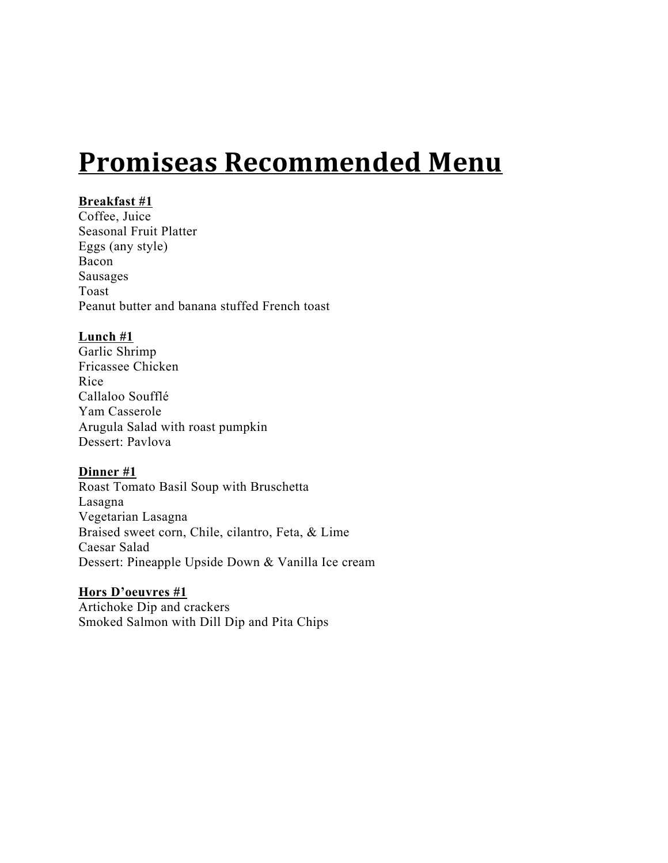# **Promiseas Recommended Menu**

# **Breakfast #1**

Coffee, Juice Seasonal Fruit Platter Eggs (any style) Bacon Sausages Toast Peanut butter and banana stuffed French toast

# **Lunch #1**

Garlic Shrimp Fricassee Chicken Rice Callaloo Soufflé Yam Casserole Arugula Salad with roast pumpkin Dessert: Pavlova

# **Dinner #1**

Roast Tomato Basil Soup with Bruschetta Lasagna Vegetarian Lasagna Braised sweet corn, Chile, cilantro, Feta, & Lime Caesar Salad Dessert: Pineapple Upside Down & Vanilla Ice cream

# **Hors D'oeuvres #1**

Artichoke Dip and crackers Smoked Salmon with Dill Dip and Pita Chips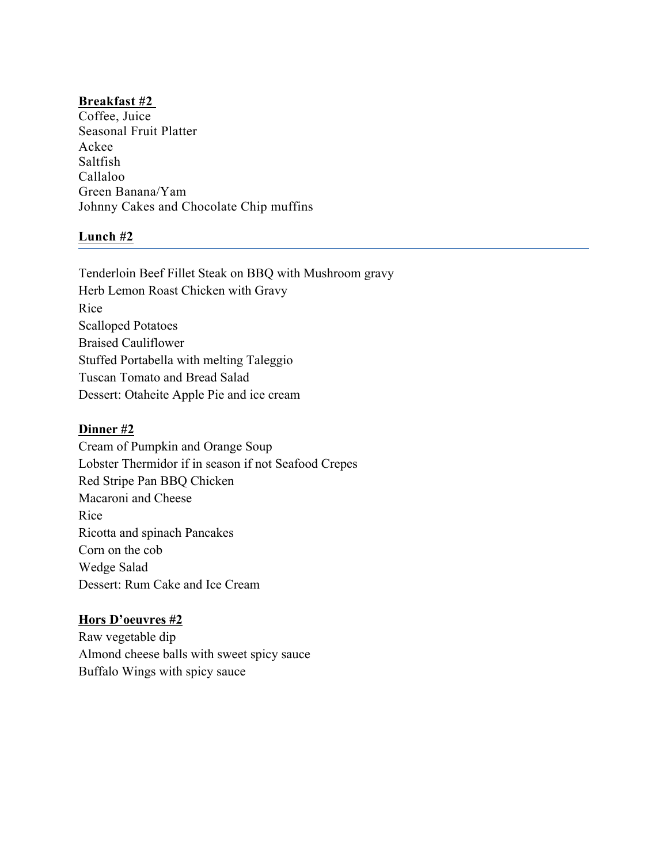Coffee, Juice Seasonal Fruit Platter Ackee Saltfish Callaloo Green Banana/Yam Johnny Cakes and Chocolate Chip muffins

# **Lunch #2**

Tenderloin Beef Fillet Steak on BBQ with Mushroom gravy Herb Lemon Roast Chicken with Gravy Rice Scalloped Potatoes Braised Cauliflower Stuffed Portabella with melting Taleggio Tuscan Tomato and Bread Salad Dessert: Otaheite Apple Pie and ice cream

# **Dinner #2**

Cream of Pumpkin and Orange Soup Lobster Thermidor if in season if not Seafood Crepes Red Stripe Pan BBQ Chicken Macaroni and Cheese Rice Ricotta and spinach Pancakes Corn on the cob Wedge Salad Dessert: Rum Cake and Ice Cream

# **Hors D'oeuvres #2**

Raw vegetable dip Almond cheese balls with sweet spicy sauce Buffalo Wings with spicy sauce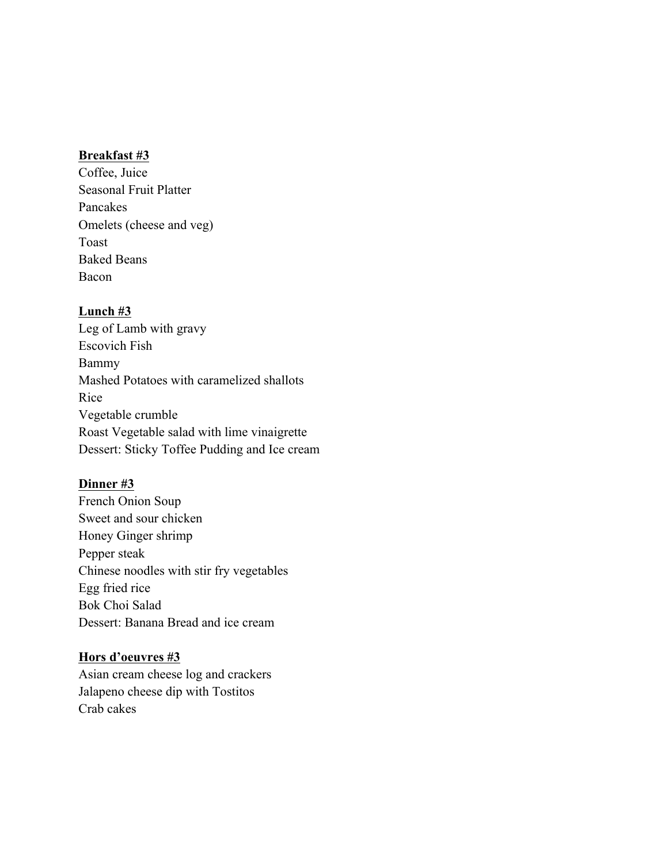Coffee, Juice Seasonal Fruit Platter Pancakes Omelets (cheese and veg) Toast Baked Beans Bacon

# **Lunch #3**

Leg of Lamb with gravy Escovich Fish Bammy Mashed Potatoes with caramelized shallots Rice Vegetable crumble Roast Vegetable salad with lime vinaigrette Dessert: Sticky Toffee Pudding and Ice cream

# **Dinner #3**

French Onion Soup Sweet and sour chicken Honey Ginger shrimp Pepper steak Chinese noodles with stir fry vegetables Egg fried rice Bok Choi Salad Dessert: Banana Bread and ice cream

# **Hors d'oeuvres #3**

Asian cream cheese log and crackers Jalapeno cheese dip with Tostitos Crab cakes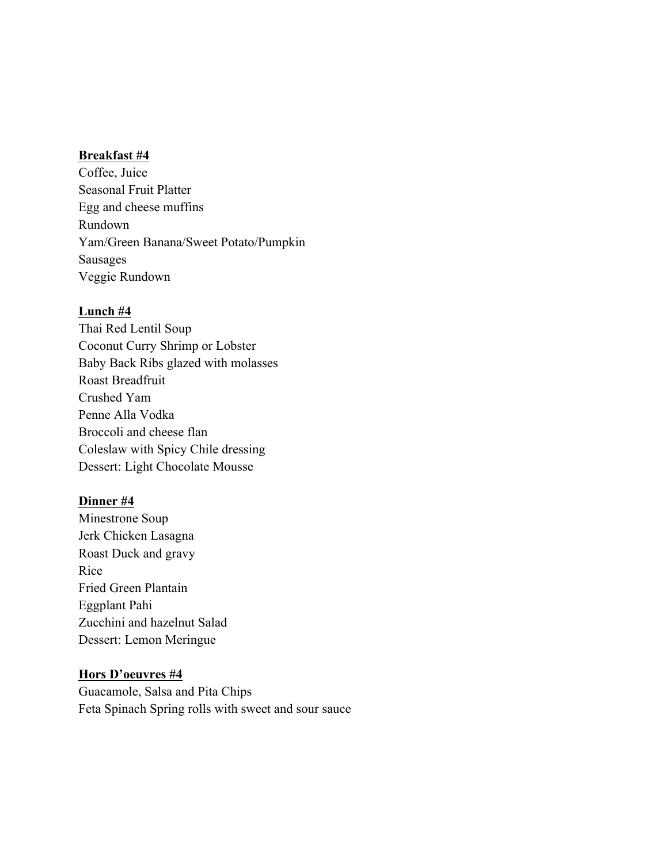Coffee, Juice Seasonal Fruit Platter Egg and cheese muffins Rundown Yam/Green Banana/Sweet Potato/Pumpkin Sausages Veggie Rundown

#### **Lunch #4**

Thai Red Lentil Soup Coconut Curry Shrimp or Lobster Baby Back Ribs glazed with molasses Roast Breadfruit Crushed Yam Penne Alla Vodka Broccoli and cheese flan Coleslaw with Spicy Chile dressing Dessert: Light Chocolate Mousse

#### **Dinner #4**

Minestrone Soup Jerk Chicken Lasagna Roast Duck and gravy Rice Fried Green Plantain Eggplant Pahi Zucchini and hazelnut Salad Dessert: Lemon Meringue

#### **Hors D'oeuvres #4**

Guacamole, Salsa and Pita Chips Feta Spinach Spring rolls with sweet and sour sauce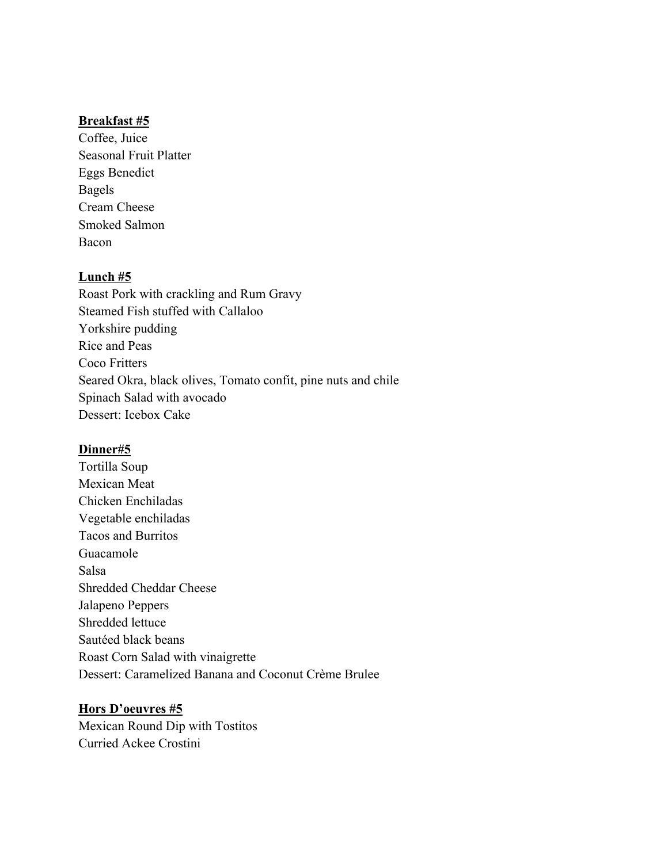Coffee, Juice Seasonal Fruit Platter Eggs Benedict Bagels Cream Cheese Smoked Salmon Bacon

## **Lunch #5**

Roast Pork with crackling and Rum Gravy Steamed Fish stuffed with Callaloo Yorkshire pudding Rice and Peas Coco Fritters Seared Okra, black olives, Tomato confit, pine nuts and chile Spinach Salad with avocado Dessert: Icebox Cake

## **Dinner#5**

Tortilla Soup Mexican Meat Chicken Enchiladas Vegetable enchiladas Tacos and Burritos Guacamole Salsa Shredded Cheddar Cheese Jalapeno Peppers Shredded lettuce Sautéed black beans Roast Corn Salad with vinaigrette Dessert: Caramelized Banana and Coconut Crème Brulee

## **Hors D'oeuvres #5**

Mexican Round Dip with Tostitos Curried Ackee Crostini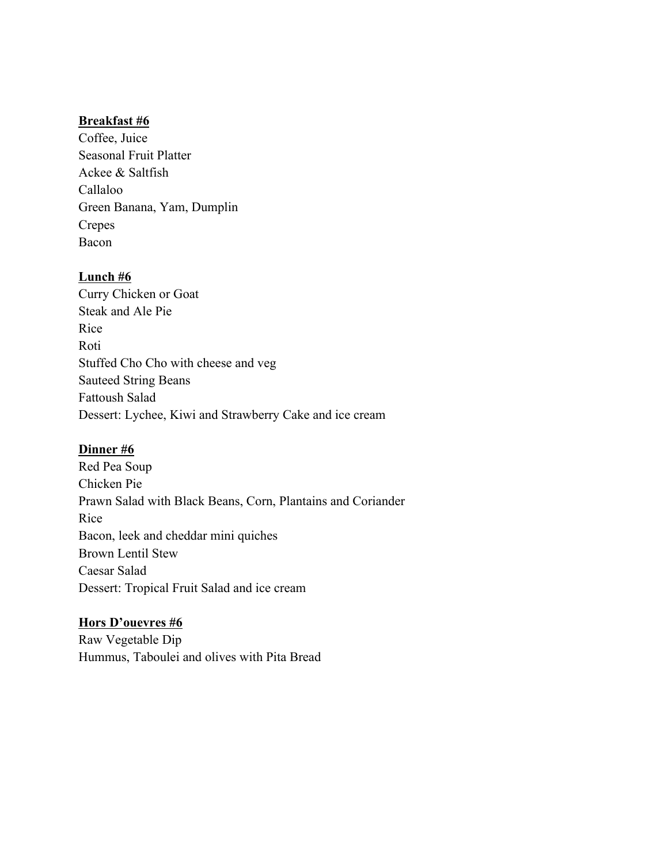Coffee, Juice Seasonal Fruit Platter Ackee & Saltfish Callaloo Green Banana, Yam, Dumplin Crepes Bacon

# **Lunch #6**

Curry Chicken or Goat Steak and Ale Pie Rice Roti Stuffed Cho Cho with cheese and veg Sauteed String Beans Fattoush Salad Dessert: Lychee, Kiwi and Strawberry Cake and ice cream

# **Dinner #6**

Red Pea Soup Chicken Pie Prawn Salad with Black Beans, Corn, Plantains and Coriander Rice Bacon, leek and cheddar mini quiches Brown Lentil Stew Caesar Salad Dessert: Tropical Fruit Salad and ice cream

# **Hors D'ouevres #6**

Raw Vegetable Dip Hummus, Taboulei and olives with Pita Bread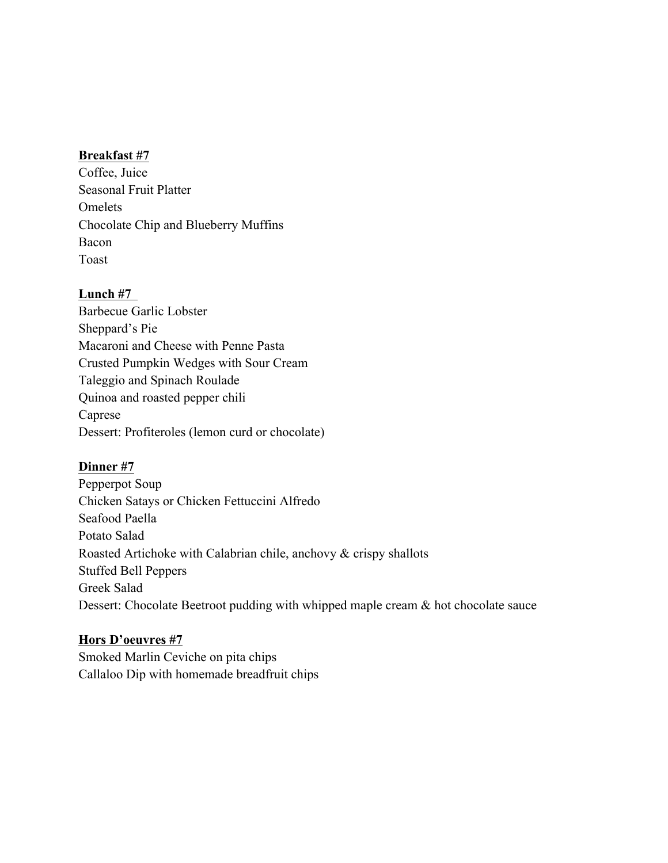Coffee, Juice Seasonal Fruit Platter Omelets Chocolate Chip and Blueberry Muffins Bacon Toast

# **Lunch #7**

Barbecue Garlic Lobster Sheppard's Pie Macaroni and Cheese with Penne Pasta Crusted Pumpkin Wedges with Sour Cream Taleggio and Spinach Roulade Quinoa and roasted pepper chili Caprese Dessert: Profiteroles (lemon curd or chocolate)

# **Dinner #7**

Pepperpot Soup Chicken Satays or Chicken Fettuccini Alfredo Seafood Paella Potato Salad Roasted Artichoke with Calabrian chile, anchovy & crispy shallots Stuffed Bell Peppers Greek Salad Dessert: Chocolate Beetroot pudding with whipped maple cream & hot chocolate sauce

# **Hors D'oeuvres #7**

Smoked Marlin Ceviche on pita chips Callaloo Dip with homemade breadfruit chips